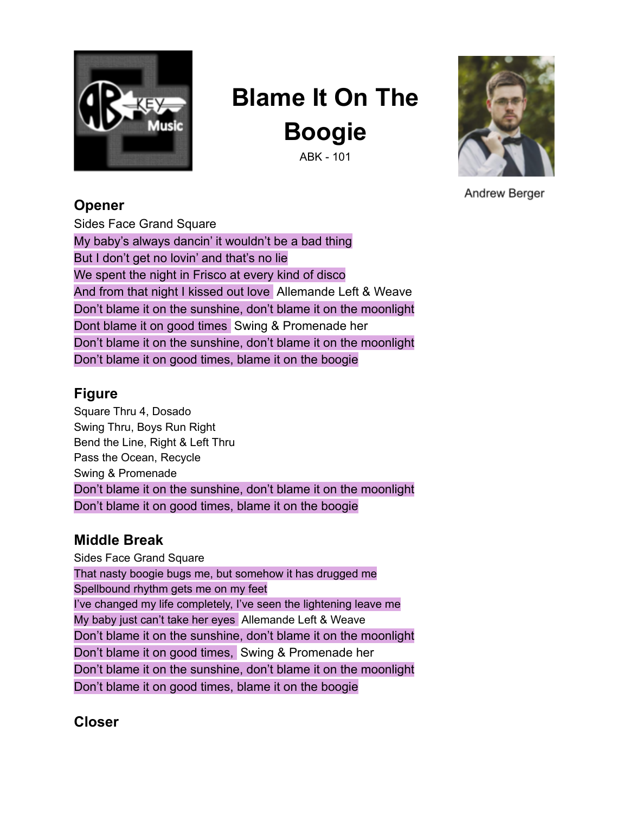

## **Blame It On The Boogie**

ABK - 101



**Andrew Berger** 

## **Opener**

Sides Face Grand Square My baby's always dancin' it wouldn't be a bad thing But I don't get no lovin' and that's no lie We spent the night in Frisco at every kind of disco And from that night I kissed out love Allemande Left & Weave Don't blame it on the sunshine, don't blame it on the moonlight Dont blame it on good times Swing & Promenade her Don't blame it on the sunshine, don't blame it on the moonlight Don't blame it on good times, blame it on the boogie

## **Figure**

Square Thru 4, Dosado Swing Thru, Boys Run Right Bend the Line, Right & Left Thru Pass the Ocean, Recycle Swing & Promenade Don't blame it on the sunshine, don't blame it on the moonlight Don't blame it on good times, blame it on the boogie

## **Middle Break**

Sides Face Grand Square That nasty boogie bugs me, but somehow it has drugged me Spellbound rhythm gets me on my feet I've changed my life completely, I've seen the lightening leave me My baby just can't take her eyes Allemande Left & Weave Don't blame it on the sunshine, don't blame it on the moonlight Don't blame it on good times, Swing & Promenade her Don't blame it on the sunshine, don't blame it on the moonlight Don't blame it on good times, blame it on the boogie

**Closer**